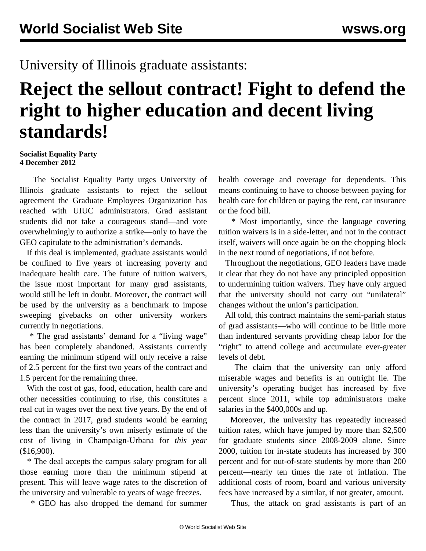## University of Illinois graduate assistants:

## **Reject the sellout contract! Fight to defend the right to higher education and decent living standards!**

## **Socialist Equality Party 4 December 2012**

 The Socialist Equality Party urges University of Illinois graduate assistants to reject the sellout agreement the Graduate Employees Organization has reached with UIUC administrators. Grad assistant students did not take a courageous stand—and vote overwhelmingly to authorize a strike—only to have the GEO capitulate to the administration's demands.

 If this deal is implemented, graduate assistants would be confined to five years of increasing poverty and inadequate health care. The future of tuition waivers, the issue most important for many grad assistants, would still be left in doubt. Moreover, the contract will be used by the university as a benchmark to impose sweeping givebacks on other university workers currently in negotiations.

 \* The grad assistants' demand for a "living wage" has been completely abandoned. Assistants currently earning the minimum stipend will only receive a raise of 2.5 percent for the first two years of the contract and 1.5 percent for the remaining three.

 With the cost of gas, food, education, health care and other necessities continuing to rise, this constitutes a real cut in wages over the next five years. By the end of the contract in 2017, grad students would be earning less than the university's own miserly estimate of the cost of living in Champaign-Urbana for *this year* (\$16,900).

 \* The deal accepts the campus salary program for all those earning more than the minimum stipend at present. This will leave wage rates to the discretion of the university and vulnerable to years of wage freezes.

\* GEO has also dropped the demand for summer

health coverage and coverage for dependents. This means continuing to have to choose between paying for health care for children or paying the rent, car insurance or the food bill.

 \* Most importantly, since the language covering tuition waivers is in a side-letter, and not in the contract itself, waivers will once again be on the chopping block in the next round of negotiations, if not before.

 Throughout the negotiations, GEO leaders have made it clear that they do not have any principled opposition to undermining tuition waivers. They have only argued that the university should not carry out "unilateral" changes without the union's participation.

 All told, this contract maintains the semi-pariah status of grad assistants—who will continue to be little more than indentured servants providing cheap labor for the "right" to attend college and accumulate ever-greater levels of debt.

 The claim that the university can only afford miserable wages and benefits is an outright lie. The university's operating budget has increased by five percent since 2011, while top administrators make salaries in the \$400,000s and up.

 Moreover, the university has repeatedly increased tuition rates, which have jumped by more than \$2,500 for graduate students since 2008-2009 alone. Since 2000, tuition for in-state students has increased by 300 percent and for out-of-state students by more than 200 percent—nearly ten times the rate of inflation. The additional costs of room, board and various university fees have increased by a similar, if not greater, amount.

Thus, the attack on grad assistants is part of an